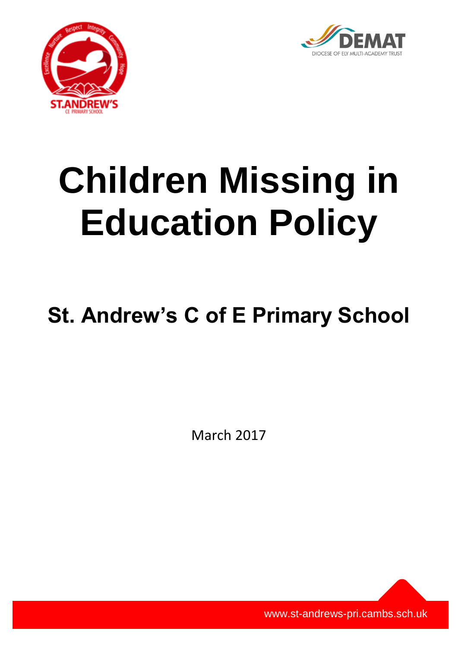



# **Children Missing in Education Policy**

# **St. Andrew's C of E Primary School**

March 2017

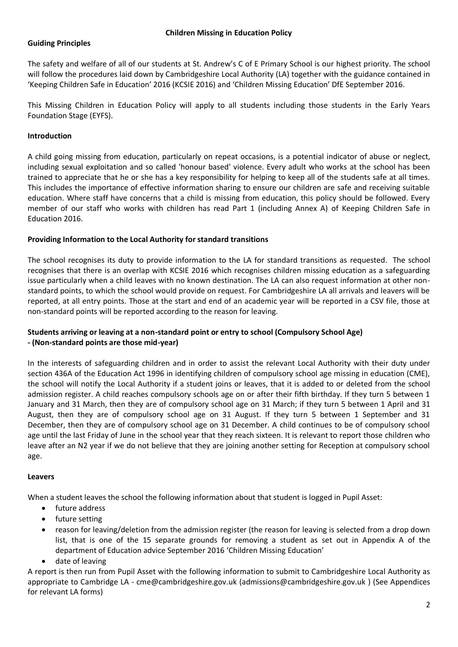# **Guiding Principles**

The safety and welfare of all of our students at St. Andrew's C of E Primary School is our highest priority. The school will follow the procedures laid down by Cambridgeshire Local Authority (LA) together with the guidance contained in 'Keeping Children Safe in Education' 2016 (KCSIE 2016) and 'Children Missing Education' DfE September 2016.

This Missing Children in Education Policy will apply to all students including those students in the Early Years Foundation Stage (EYFS).

# **Introduction**

A child going missing from education, particularly on repeat occasions, is a potential indicator of abuse or neglect, including sexual exploitation and so called 'honour based' violence. Every adult who works at the school has been trained to appreciate that he or she has a key responsibility for helping to keep all of the students safe at all times. This includes the importance of effective information sharing to ensure our children are safe and receiving suitable education. Where staff have concerns that a child is missing from education, this policy should be followed. Every member of our staff who works with children has read Part 1 (including Annex A) of Keeping Children Safe in Education 2016.

# **Providing Information to the Local Authority for standard transitions**

The school recognises its duty to provide information to the LA for standard transitions as requested. The school recognises that there is an overlap with KCSIE 2016 which recognises children missing education as a safeguarding issue particularly when a child leaves with no known destination. The LA can also request information at other nonstandard points, to which the school would provide on request. For Cambridgeshire LA all arrivals and leavers will be reported, at all entry points. Those at the start and end of an academic year will be reported in a CSV file, those at non-standard points will be reported according to the reason for leaving.

# **Students arriving or leaving at a non-standard point or entry to school (Compulsory School Age) - (Non-standard points are those mid-year)**

In the interests of safeguarding children and in order to assist the relevant Local Authority with their duty under section 436A of the Education Act 1996 in identifying children of compulsory school age missing in education (CME), the school will notify the Local Authority if a student joins or leaves, that it is added to or deleted from the school admission register. A child reaches compulsory schools age on or after their fifth birthday. If they turn 5 between 1 January and 31 March, then they are of compulsory school age on 31 March; if they turn 5 between 1 April and 31 August, then they are of compulsory school age on 31 August. If they turn 5 between 1 September and 31 December, then they are of compulsory school age on 31 December. A child continues to be of compulsory school age until the last Friday of June in the school year that they reach sixteen. It is relevant to report those children who leave after an N2 year if we do not believe that they are joining another setting for Reception at compulsory school age.

#### **Leavers**

When a student leaves the school the following information about that student is logged in Pupil Asset:

- future address
- future setting
- reason for leaving/deletion from the admission register (the reason for leaving is selected from a drop down list, that is one of the 15 separate grounds for removing a student as set out in Appendix A of the department of Education advice September 2016 'Children Missing Education'
- date of leaving

A report is then run from Pupil Asset with the following information to submit to Cambridgeshire Local Authority as appropriate to Cambridge LA - [cme@cambridgeshire.gov.uk](mailto:cme@cambridgeshire.gov.uk) [\(admissions@cambridgeshire.gov.uk](mailto:admissions@cambridgeshire.gov.uk) ) (See Appendices for relevant LA forms)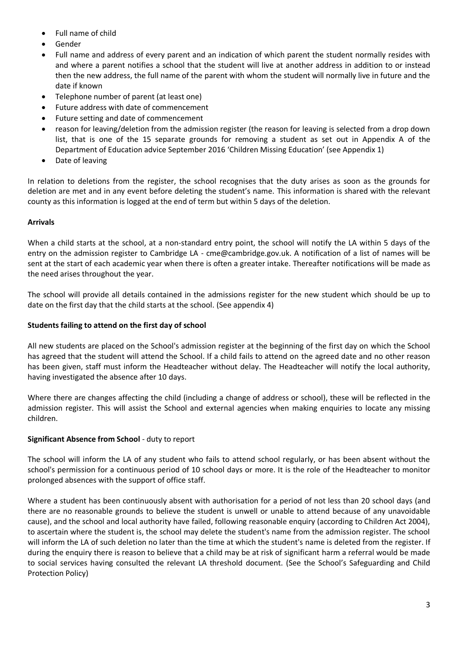- Full name of child
- Gender
- Full name and address of every parent and an indication of which parent the student normally resides with and where a parent notifies a school that the student will live at another address in addition to or instead then the new address, the full name of the parent with whom the student will normally live in future and the date if known
- Telephone number of parent (at least one)
- Future address with date of commencement
- Future setting and date of commencement
- reason for leaving/deletion from the admission register (the reason for leaving is selected from a drop down list, that is one of the 15 separate grounds for removing a student as set out in Appendix A of the Department of Education advice September 2016 'Children Missing Education' (see Appendix 1)
- Date of leaving

In relation to deletions from the register, the school recognises that the duty arises as soon as the grounds for deletion are met and in any event before deleting the student's name. This information is shared with the relevant county as this information is logged at the end of term but within 5 days of the deletion.

# **Arrivals**

When a child starts at the school, at a non-standard entry point, the school will notify the LA within 5 days of the entry on the admission register to Cambridge LA - cme@cambridge.gov.uk. A notification of a list of names will be sent at the start of each academic year when there is often a greater intake. Thereafter notifications will be made as the need arises throughout the year.

The school will provide all details contained in the admissions register for the new student which should be up to date on the first day that the child starts at the school. (See appendix 4)

# **Students failing to attend on the first day of school**

All new students are placed on the School's admission register at the beginning of the first day on which the School has agreed that the student will attend the School. If a child fails to attend on the agreed date and no other reason has been given, staff must inform the Headteacher without delay. The Headteacher will notify the local authority, having investigated the absence after 10 days.

Where there are changes affecting the child (including a change of address or school), these will be reflected in the admission register. This will assist the School and external agencies when making enquiries to locate any missing children.

# **Significant Absence from School** - duty to report

The school will inform the LA of any student who fails to attend school regularly, or has been absent without the school's permission for a continuous period of 10 school days or more. It is the role of the Headteacher to monitor prolonged absences with the support of office staff.

Where a student has been continuously absent with authorisation for a period of not less than 20 school days (and there are no reasonable grounds to believe the student is unwell or unable to attend because of any unavoidable cause), and the school and local authority have failed, following reasonable enquiry (according to Children Act 2004), to ascertain where the student is, the school may delete the student's name from the admission register. The school will inform the LA of such deletion no later than the time at which the student's name is deleted from the register. If during the enquiry there is reason to believe that a child may be at risk of significant harm a referral would be made to social services having consulted the relevant LA threshold document. (See the School's Safeguarding and Child Protection Policy)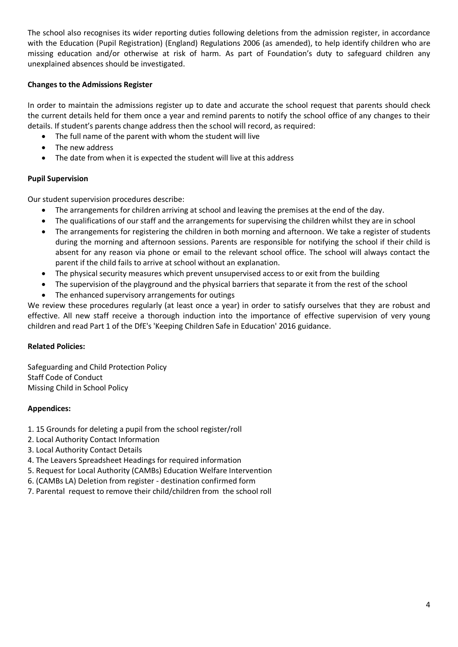The school also recognises its wider reporting duties following deletions from the admission register, in accordance with the Education (Pupil Registration) (England) Regulations 2006 (as amended), to help identify children who are missing education and/or otherwise at risk of harm. As part of Foundation's duty to safeguard children any unexplained absences should be investigated.

# **Changes to the Admissions Register**

In order to maintain the admissions register up to date and accurate the school request that parents should check the current details held for them once a year and remind parents to notify the school office of any changes to their details. If student's parents change address then the school will record, as required:

- The full name of the parent with whom the student will live
- The new address
- The date from when it is expected the student will live at this address

# **Pupil Supervision**

Our student supervision procedures describe:

- The arrangements for children arriving at school and leaving the premises at the end of the day.
- The qualifications of our staff and the arrangements for supervising the children whilst they are in school
- The arrangements for registering the children in both morning and afternoon. We take a register of students during the morning and afternoon sessions. Parents are responsible for notifying the school if their child is absent for any reason via phone or email to the relevant school office. The school will always contact the parent if the child fails to arrive at school without an explanation.
- The physical security measures which prevent unsupervised access to or exit from the building
- The supervision of the playground and the physical barriers that separate it from the rest of the school
- The enhanced supervisory arrangements for outings

We review these procedures regularly (at least once a year) in order to satisfy ourselves that they are robust and effective. All new staff receive a thorough induction into the importance of effective supervision of very young children and read Part 1 of the DfE's 'Keeping Children Safe in Education' 2016 guidance.

# **Related Policies:**

Safeguarding and Child Protection Policy Staff Code of Conduct Missing Child in School Policy

# **Appendices:**

- 1. 15 Grounds for deleting a pupil from the school register/roll
- 2. Local Authority Contact Information
- 3. Local Authority Contact Details
- 4. The Leavers Spreadsheet Headings for required information
- 5. Request for Local Authority (CAMBs) Education Welfare Intervention
- 6. (CAMBs LA) Deletion from register destination confirmed form
- 7. Parental request to remove their child/children from the school roll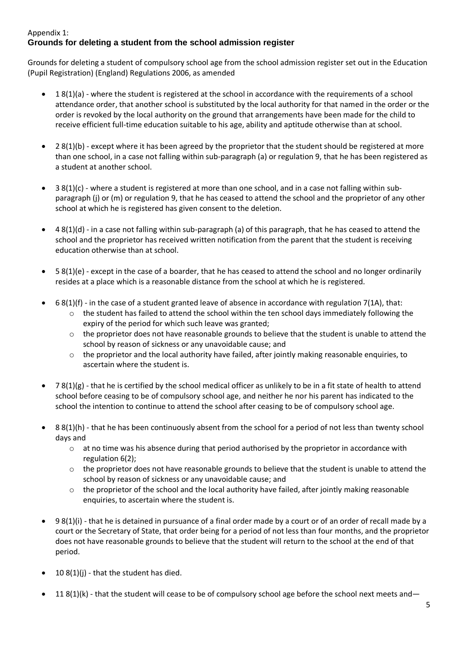# Appendix 1: **Grounds for deleting a student from the school admission register**

Grounds for deleting a student of compulsory school age from the school admission register set out in the Education (Pupil Registration) (England) Regulations 2006, as amended

- 1 8(1)(a) where the student is registered at the school in accordance with the requirements of a school attendance order, that another school is substituted by the local authority for that named in the order or the order is revoked by the local authority on the ground that arrangements have been made for the child to receive efficient full-time education suitable to his age, ability and aptitude otherwise than at school.
- 28(1)(b) except where it has been agreed by the proprietor that the student should be registered at more than one school, in a case not falling within sub-paragraph (a) or regulation 9, that he has been registered as a student at another school.
- 3 8(1)(c) where a student is registered at more than one school, and in a case not falling within subparagraph (j) or (m) or regulation 9, that he has ceased to attend the school and the proprietor of any other school at which he is registered has given consent to the deletion.
- $48(1)(d)$  in a case not falling within sub-paragraph (a) of this paragraph, that he has ceased to attend the school and the proprietor has received written notification from the parent that the student is receiving education otherwise than at school.
- 5 8(1)(e) except in the case of a boarder, that he has ceased to attend the school and no longer ordinarily resides at a place which is a reasonable distance from the school at which he is registered.
- $\bullet$  6 8(1)(f) in the case of a student granted leave of absence in accordance with regulation 7(1A), that:
	- $\circ$  the student has failed to attend the school within the ten school days immediately following the expiry of the period for which such leave was granted;
	- $\circ$  the proprietor does not have reasonable grounds to believe that the student is unable to attend the school by reason of sickness or any unavoidable cause; and
	- o the proprietor and the local authority have failed, after jointly making reasonable enquiries, to ascertain where the student is.
- $78(1)(g)$  that he is certified by the school medical officer as unlikely to be in a fit state of health to attend school before ceasing to be of compulsory school age, and neither he nor his parent has indicated to the school the intention to continue to attend the school after ceasing to be of compulsory school age.
- 8 8(1)(h) that he has been continuously absent from the school for a period of not less than twenty school days and
	- o at no time was his absence during that period authorised by the proprietor in accordance with regulation 6(2);
	- $\circ$  the proprietor does not have reasonable grounds to believe that the student is unable to attend the school by reason of sickness or any unavoidable cause; and
	- $\circ$  the proprietor of the school and the local authority have failed, after jointly making reasonable enquiries, to ascertain where the student is.
- 9 8(1)(i) that he is detained in pursuance of a final order made by a court or of an order of recall made by a court or the Secretary of State, that order being for a period of not less than four months, and the proprietor does not have reasonable grounds to believe that the student will return to the school at the end of that period.
- 10  $8(1)(i)$  that the student has died.
- 11  $8(1)(k)$  that the student will cease to be of compulsory school age before the school next meets and—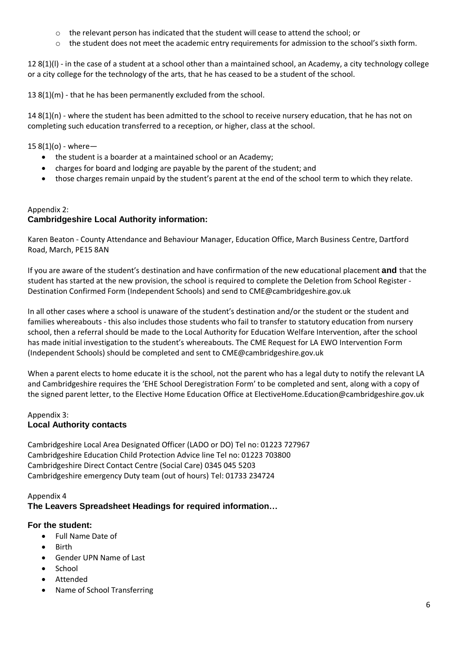- o the relevant person has indicated that the student will cease to attend the school; or
- o the student does not meet the academic entry requirements for admission to the school's sixth form.

12  $8(1)(l)$  - in the case of a student at a school other than a maintained school, an Academy, a city technology college or a city college for the technology of the arts, that he has ceased to be a student of the school.

13 8(1)(m) - that he has been permanently excluded from the school.

 $14 8(1)(n)$  - where the student has been admitted to the school to receive nursery education, that he has not on completing such education transferred to a reception, or higher, class at the school.

15  $8(1)(o)$  - where-

- the student is a boarder at a maintained school or an Academy;
- charges for board and lodging are payable by the parent of the student; and
- those charges remain unpaid by the student's parent at the end of the school term to which they relate.

# Appendix 2: **Cambridgeshire Local Authority information:**

Karen Beaton - County Attendance and Behaviour Manager, Education Office, March Business Centre, Dartford Road, March, PE15 8AN

If you are aware of the student's destination and have confirmation of the new educational placement **and** that the student has started at the new provision, the school is required to complete the Deletion from School Register - Destination Confirmed Form (Independent Schools) and send to CME@cambridgeshire.gov.uk

In all other cases where a school is unaware of the student's destination and/or the student or the student and families whereabouts - this also includes those students who fail to transfer to statutory education from nursery school, then a referral should be made to the Local Authority for Education Welfare Intervention, after the school has made initial investigation to the student's whereabouts. The CME Request for LA EWO Intervention Form (Independent Schools) should be completed and sent to CME@cambridgeshire.gov.uk

When a parent elects to home educate it is the school, not the parent who has a legal duty to notify the relevant LA and Cambridgeshire requires the 'EHE School Deregistration Form' to be completed and sent, along with a copy of the signed parent letter, to the Elective Home Education Office at ElectiveHome.Education@cambridgeshire.gov.uk

#### Appendix 3: **Local Authority contacts**

Cambridgeshire Local Area Designated Officer (LADO or DO) Tel no: 01223 727967 Cambridgeshire Education Child Protection Advice line Tel no: 01223 703800 Cambridgeshire Direct Contact Centre (Social Care) 0345 045 5203 Cambridgeshire emergency Duty team (out of hours) Tel: 01733 234724

# Appendix 4 **The Leavers Spreadsheet Headings for required information…**

# **For the student:**

- Full Name Date of
- Birth
- Gender UPN Name of Last
- School
- Attended
- Name of School Transferring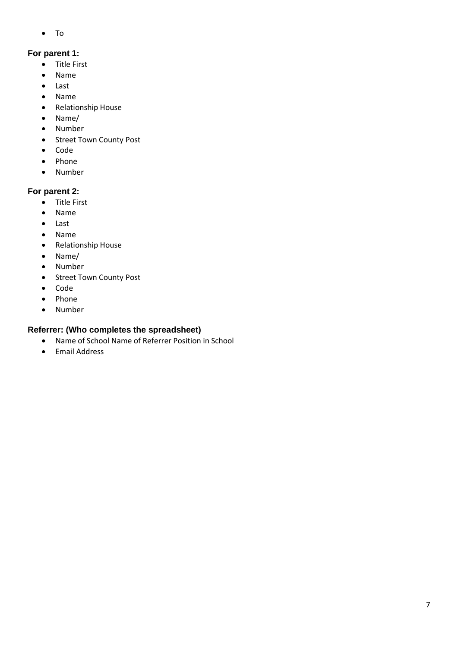To

# **For parent 1:**

- Title First
- Name
- Last
- Name
- Relationship House
- Name/
- Number
- Street Town County Post
- Code
- Phone
- Number

# **For parent 2:**

- Title First
- Name
- Last
- Name
- Relationship House
- Name/
- Number
- Street Town County Post
- Code
- Phone
- Number

# **Referrer: (Who completes the spreadsheet)**

- Name of School Name of Referrer Position in School
- **•** Email Address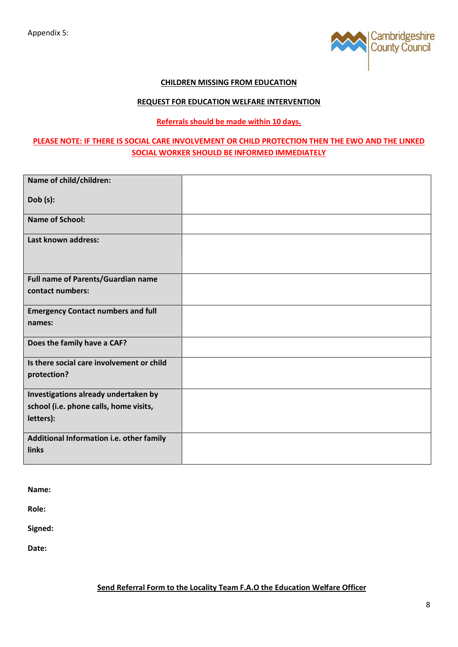

#### **CHILDREN MISSING FROM EDUCATION**

#### **REQUEST FOR EDUCATION WELFARE INTERVENTION**

#### **Referrals should be made within 10 days.**

# **PLEASE NOTE: IF THERE IS SOCIAL CARE INVOLVEMENT OR CHILD PROTECTION THEN THE EWO AND THE LINKED SOCIAL WORKER SHOULD BE INFORMED IMMEDIATELY**

| Name of child/children:                   |  |
|-------------------------------------------|--|
| Dob(s):                                   |  |
| <b>Name of School:</b>                    |  |
| Last known address:                       |  |
| Full name of Parents/Guardian name        |  |
| contact numbers:                          |  |
| <b>Emergency Contact numbers and full</b> |  |
| names:                                    |  |
| Does the family have a CAF?               |  |
| Is there social care involvement or child |  |
| protection?                               |  |
| Investigations already undertaken by      |  |
| school (i.e. phone calls, home visits,    |  |
| letters):                                 |  |
| Additional Information i.e. other family  |  |
| links                                     |  |

**Name:**

**Role:**

**Signed:**

**Date:**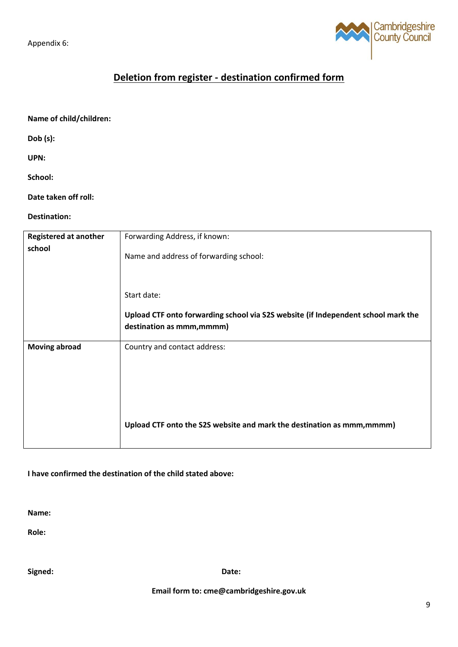Appendix 6:



# **Deletion from register - destination confirmed form**

**Name of child/children:**

**Dob (s):**

**UPN:** 

**School:**

**Date taken off roll:**

**Destination:**

| <b>Registered at another</b> | Forwarding Address, if known:                                                     |
|------------------------------|-----------------------------------------------------------------------------------|
| school                       | Name and address of forwarding school:                                            |
|                              | Start date:                                                                       |
|                              | Upload CTF onto forwarding school via S2S website (if Independent school mark the |
|                              | destination as mmm, mmmm)                                                         |
| <b>Moving abroad</b>         | Country and contact address:                                                      |
|                              | Upload CTF onto the S2S website and mark the destination as mmm, mmmm)            |

**I have confirmed the destination of the child stated above:**

**Name:**

**Role:** 

**Signed: Date:**

**Email form to: cme@cambridgeshire.gov.uk**